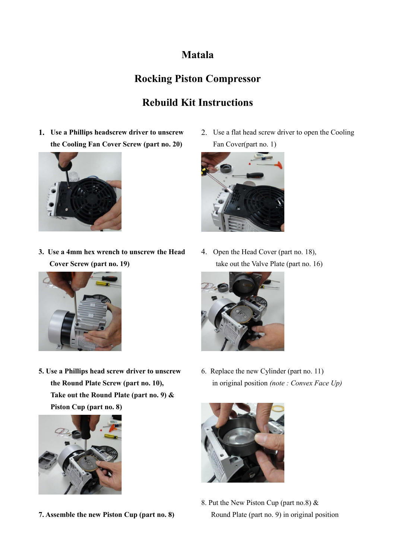### **Matala**

# **Rocking Piston Compressor**

# **Rebuild Kit Instructions**

**1. Use a Phillips headscrew driver to unscrew the Cooling Fan Cover Screw (part no. 20)**



**3. Use a 4mm hex wrench to unscrew the Head Cover Screw (part no. 19)**



**5. Use a Phillips head screw driver to unscrew the Round Plate Screw (part no. 10), Take out the Round Plate (part no. 9) & Piston Cup (part no. 8)**



**7. Assemble the new Piston Cup (part no. 8)**

2. Use a flat head screw driver to open the Cooling Fan Cover(part no. 1)



4. Open the Head Cover (part no. 18), take out the Valve Plate (part no. 16)



6. Replace the new Cylinder (part no. 11) in original position *(note : Convex Face Up)*



8. Put the New Piston Cup (part no.8) & Round Plate (part no. 9) in original position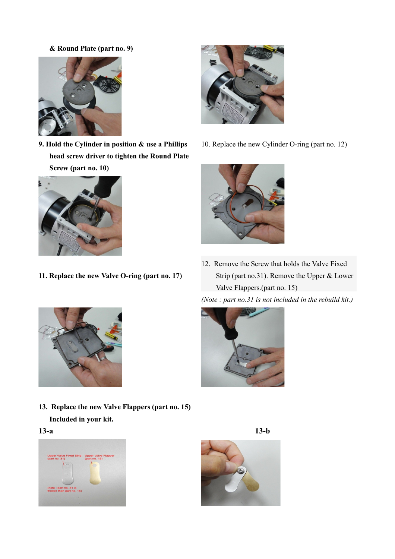#### **& Round Plate (part no. 9)**



**9. Hold the Cylinder in position & use a Phillips head screw driver to tighten the Round Plate Screw (part no. 10)**



**11. Replace the new Valve O-ring (part no. 17)**



10. Replace the new Cylinder O-ring (part no. 12)



12. Remove the Screw that holds the Valve Fixed Strip (part no.31). Remove the Upper & Lower Valve Flappers.(part no. 15)





**13. Replace the new Valve Flappers (part no. 15) Included in your kit.**

#### **13-a 13-b**





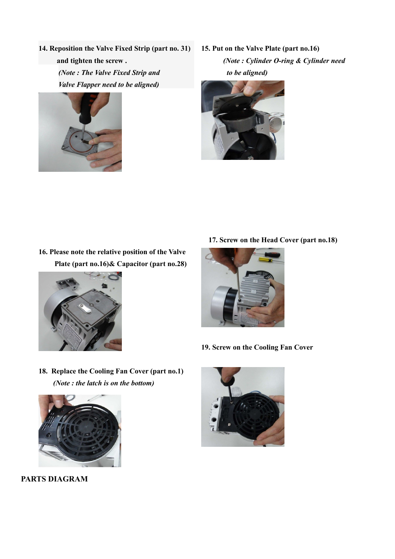**14. Reposition the Valve Fixed Strip (part no. 31) and tighten the screw .** *(Note : The Valve Fixed Strip and Valve Flapper need to be aligned)*



**15. Put on the Valve Plate (part no.16)** *(Note : Cylinder O-ring & Cylinder need to be aligned)*



**16. Please note the relative position of the Valve Plate (part no.16)& Capacitor (part no.28)**



**17. Screw on the Head Cover (part no.18)**



- **19. Screw on the Cooling Fan Cover**
- **18. Replace the Cooling Fan Cover (part no.1)** *(Note : the latch is on the bottom)*



 **PARTS DIAGRAM**